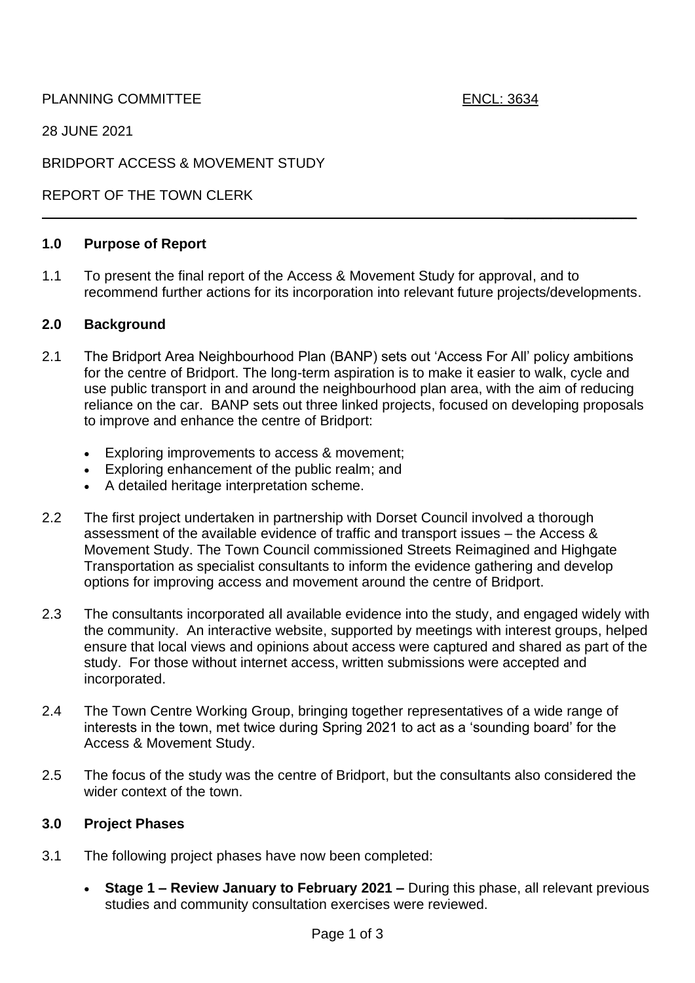PLANNING COMMITTEE ENCL: 3634

 $\_$ 

28 JUNE 2021

BRIDPORT ACCESS & MOVEMENT STUDY

REPORT OF THE TOWN CLERK

### **1.0 Purpose of Report**

1.1 To present the final report of the Access & Movement Study for approval, and to recommend further actions for its incorporation into relevant future projects/developments.

### **2.0 Background**

- 2.1 The Bridport Area Neighbourhood Plan (BANP) sets out 'Access For All' policy ambitions for the centre of Bridport. The long-term aspiration is to make it easier to walk, cycle and use public transport in and around the neighbourhood plan area, with the aim of reducing reliance on the car. BANP sets out three linked projects, focused on developing proposals to improve and enhance the centre of Bridport:
	- Exploring improvements to access & movement;
	- Exploring enhancement of the public realm; and
	- A detailed heritage interpretation scheme.
- 2.2 The first project undertaken in partnership with Dorset Council involved a thorough assessment of the available evidence of traffic and transport issues – the Access & Movement Study. The Town Council commissioned Streets Reimagined and Highgate Transportation as specialist consultants to inform the evidence gathering and develop options for improving access and movement around the centre of Bridport.
- 2.3 The consultants incorporated all available evidence into the study, and engaged widely with the community. An interactive website, supported by meetings with interest groups, helped ensure that local views and opinions about access were captured and shared as part of the study. For those without internet access, written submissions were accepted and incorporated.
- 2.4 The Town Centre Working Group, bringing together representatives of a wide range of interests in the town, met twice during Spring 2021 to act as a 'sounding board' for the Access & Movement Study.
- 2.5 The focus of the study was the centre of Bridport, but the consultants also considered the wider context of the town.

### **3.0 Project Phases**

- 3.1 The following project phases have now been completed:
	- **Stage 1 – Review January to February 2021 –** During this phase, all relevant previous studies and community consultation exercises were reviewed.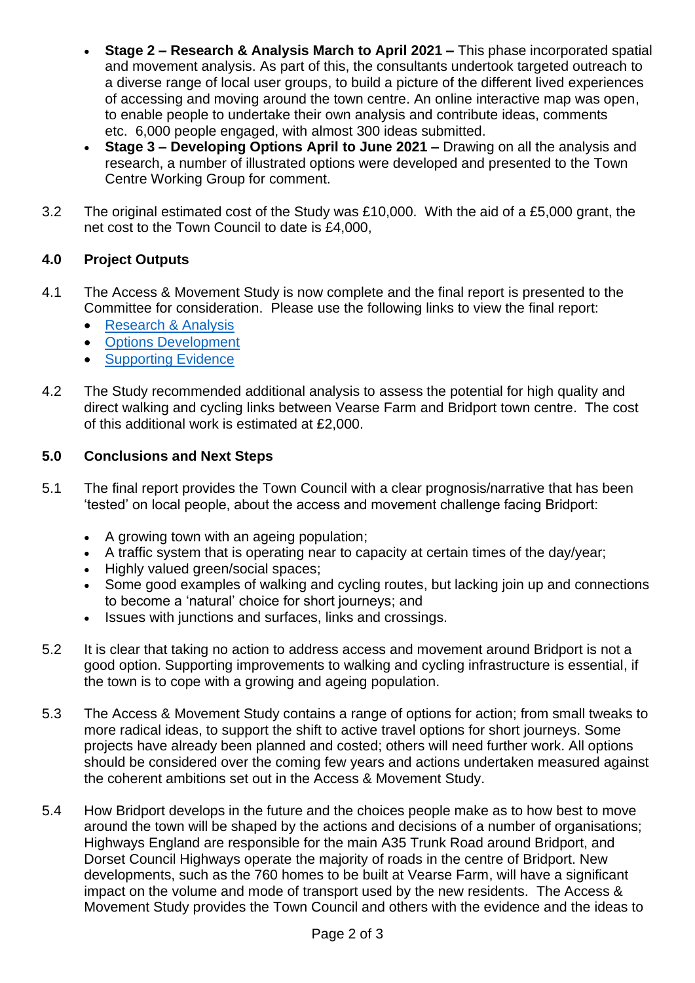- **Stage 2 – Research & Analysis March to April 2021 –** This phase incorporated spatial and movement analysis. As part of this, the consultants undertook targeted outreach to a diverse range of local user groups, to build a picture of the different lived experiences of accessing and moving around the town centre. An online interactive map was open, to enable people to undertake their own analysis and contribute ideas, comments etc. 6,000 people engaged, with almost 300 ideas submitted.
- **Stage 3 – Developing Options April to June 2021 –** Drawing on all the analysis and research, a number of illustrated options were developed and presented to the Town Centre Working Group for comment.
- 3.2 The original estimated cost of the Study was £10,000. With the aid of a £5,000 grant, the net cost to the Town Council to date is £4,000,

# **4.0 Project Outputs**

- 4.1 The Access & Movement Study is now complete and the final report is presented to the Committee for consideration. Please use the following links to view the final report:
	- [Research & Analysis](https://www.bridport-tc.gov.uk/wp-content/uploads/2021/06/Bridport-Access-Movement-Study-Presentation-1_-Research-Analysis.pdf)
	- [Options Development](https://www.bridport-tc.gov.uk/wp-content/uploads/2021/06/Bridport-Access-Movement-Study-Presentation-2_-Options-Development-.pdf)
	- [Supporting Evidence](https://www.bridport-tc.gov.uk/wp-content/uploads/2021/06/Supporting-Evidence_-Bridport-Access-Movement-Study-1.pdf)
- 4.2 The Study recommended additional analysis to assess the potential for high quality and direct walking and cycling links between Vearse Farm and Bridport town centre. The cost of this additional work is estimated at £2,000.

## **5.0 Conclusions and Next Steps**

- 5.1 The final report provides the Town Council with a clear prognosis/narrative that has been 'tested' on local people, about the access and movement challenge facing Bridport:
	- A growing town with an ageing population;
	- A traffic system that is operating near to capacity at certain times of the day/year;
	- Highly valued green/social spaces:
	- Some good examples of walking and cycling routes, but lacking join up and connections to become a 'natural' choice for short journeys; and
	- Issues with junctions and surfaces, links and crossings.
- 5.2 It is clear that taking no action to address access and movement around Bridport is not a good option. Supporting improvements to walking and cycling infrastructure is essential, if the town is to cope with a growing and ageing population.
- 5.3 The Access & Movement Study contains a range of options for action; from small tweaks to more radical ideas, to support the shift to active travel options for short journeys. Some projects have already been planned and costed; others will need further work. All options should be considered over the coming few years and actions undertaken measured against the coherent ambitions set out in the Access & Movement Study.
- 5.4 How Bridport develops in the future and the choices people make as to how best to move around the town will be shaped by the actions and decisions of a number of organisations; Highways England are responsible for the main A35 Trunk Road around Bridport, and Dorset Council Highways operate the majority of roads in the centre of Bridport. New developments, such as the 760 homes to be built at Vearse Farm, will have a significant impact on the volume and mode of transport used by the new residents. The Access & Movement Study provides the Town Council and others with the evidence and the ideas to